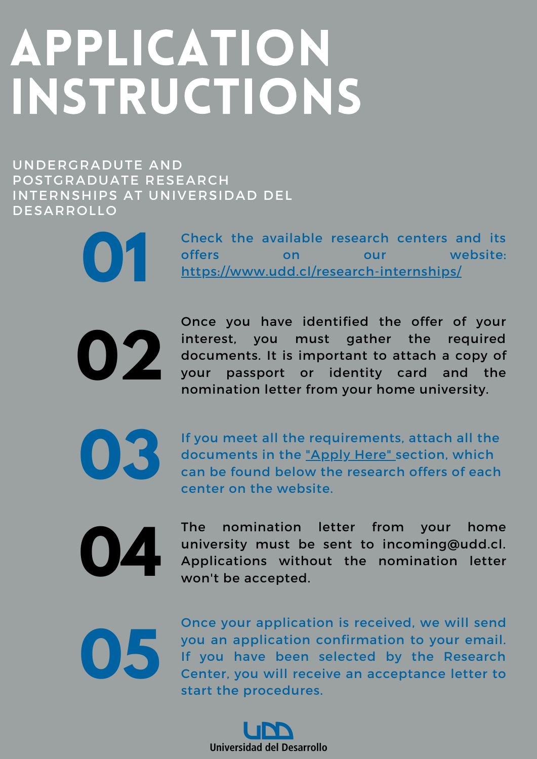## APPLICATION INSTRUCTIONS

UNDERGRADUTE AND POSTGRADUATE RESEARCH INTERNSHIPS AT UNIVERSIDAD DEL DESARROLLO

Check the available research centers and its offers on our website: **01** <https://www.udd.cl/research-internships/>



**03**

Once you have identified the offer of your interest, you must gather the required documents. It is important to attach a copy of your passport or identity card and the nomination letter from your home university.

If you meet all the requirements, attach all the documents in the ["Apply](http://udd.cl/formulario-centros-de-investigacion/) Here" section, which can be found below the research offers of each center on the website.

**04**

The nomination letter from your home university must be sent to incoming@udd.cl. Applications without the nomination letter won't be accepted.

**05**

Once your application is received, we will send you an application confirmation to your email. If you have been selected by the Research Center, you will receive an acceptance letter to start the procedures.